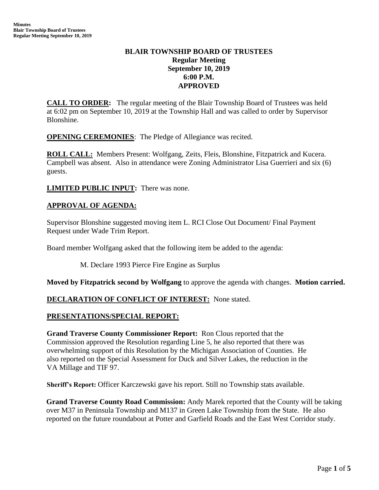# **BLAIR TOWNSHIP BOARD OF TRUSTEES Regular Meeting September 10, 2019 6:00 P.M. APPROVED**

**CALL TO ORDER:** The regular meeting of the Blair Township Board of Trustees was held at 6:02 pm on September 10, 2019 at the Township Hall and was called to order by Supervisor Blonshine.

**OPENING CEREMONIES:** The Pledge of Allegiance was recited.

**ROLL CALL:** Members Present: Wolfgang, Zeits, Fleis, Blonshine, Fitzpatrick and Kucera. Campbell was absent. Also in attendance were Zoning Administrator Lisa Guerrieri and six (6) guests.

**LIMITED PUBLIC INPUT:** There was none.

## **APPROVAL OF AGENDA:**

Supervisor Blonshine suggested moving item L. RCI Close Out Document/ Final Payment Request under Wade Trim Report.

Board member Wolfgang asked that the following item be added to the agenda:

M. Declare 1993 Pierce Fire Engine as Surplus

**Moved by Fitzpatrick second by Wolfgang** to approve the agenda with changes. **Motion carried.**

## **DECLARATION OF CONFLICT OF INTEREST:** None stated.

#### **PRESENTATIONS/SPECIAL REPORT:**

**Grand Traverse County Commissioner Report:** Ron Clous reported that the Commission approved the Resolution regarding Line 5, he also reported that there was overwhelming support of this Resolution by the Michigan Association of Counties. He also reported on the Special Assessment for Duck and Silver Lakes, the reduction in the VA Millage and TIF 97.

**Sheriff's Report:** Officer Karczewski gave his report. Still no Township stats available.

**Grand Traverse County Road Commission:** Andy Marek reported that the County will be taking over M37 in Peninsula Township and M137 in Green Lake Township from the State. He also reported on the future roundabout at Potter and Garfield Roads and the East West Corridor study.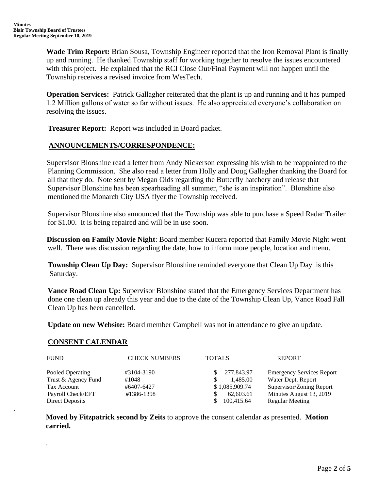**Wade Trim Report:** Brian Sousa, Township Engineer reported that the Iron Removal Plant is finally up and running. He thanked Township staff for working together to resolve the issues encountered with this project. He explained that the RCI Close Out/Final Payment will not happen until the Township receives a revised invoice from WesTech.

**Operation Services:** Patrick Gallagher reiterated that the plant is up and running and it has pumped 1.2 Million gallons of water so far without issues. He also appreciated everyone's collaboration on resolving the issues.

 **Treasurer Report:** Report was included in Board packet.

# **ANNOUNCEMENTS/CORRESPONDENCE:**

Supervisor Blonshine read a letter from Andy Nickerson expressing his wish to be reappointed to the Planning Commission. She also read a letter from Holly and Doug Gallagher thanking the Board for all that they do. Note sent by Megan Olds regarding the Butterfly hatchery and release that Supervisor Blonshine has been spearheading all summer, "she is an inspiration". Blonshine also mentioned the Monarch City USA flyer the Township received.

 Supervisor Blonshine also announced that the Township was able to purchase a Speed Radar Trailer for \$1.00. It is being repaired and will be in use soon.

**Discussion on Family Movie Night**: Board member Kucera reported that Family Movie Night went well. There was discussion regarding the date, how to inform more people, location and menu.

 **Township Clean Up Day:** Supervisor Blonshine reminded everyone that Clean Up Day is this Saturday.

 **Vance Road Clean Up:** Supervisor Blonshine stated that the Emergency Services Department has done one clean up already this year and due to the date of the Township Clean Up, Vance Road Fall Clean Up has been cancelled.

 **Update on new Website:** Board member Campbell was not in attendance to give an update.

## **CONSENT CALENDAR**

.

.

| <b>FUND</b>         | <b>CHECK NUMBERS</b> | <b>TOTALS</b>  | <b>REPORT</b>                    |
|---------------------|----------------------|----------------|----------------------------------|
| Pooled Operating    | #3104-3190           | 277,843.97     | <b>Emergency Services Report</b> |
| Trust & Agency Fund | #1048                | 1,485.00       | Water Dept. Report               |
| Tax Account         | #6407-6427           | \$1,085,909.74 | Supervisor/Zoning Report         |
| Payroll Check/EFT   | #1386-1398           | 62,603.61      | Minutes August 13, 2019          |
| Direct Deposits     |                      | 100,415.64     | <b>Regular Meeting</b>           |

**Moved by Fitzpatrick second by Zeits** to approve the consent calendar as presented. **Motion carried.**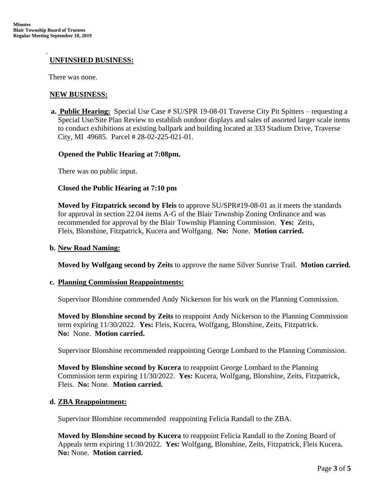#### .  **UNFINSHED BUSINESS:**

There was none.

## **NEW BUSINESS:**

**a. Public Hearing:** Special Use Case # SU/SPR 19-08-01 Traverse City Pit Spitters – requesting a Special Use/Site Plan Review to establish outdoor displays and sales of assorted larger scale items to conduct exhibitions at existing ballpark and building located at 333 Stadium Drive, Traverse City, MI 49685. Parcel # 28-02-225-021-01.

#### **Opened the Public Hearing at 7:08pm.**

There was no public input.

#### **Closed the Public Hearing at 7:10 pm**

**Moved by Fitzpatrick second by Fleis** to approve SU/SPR#19-08-01 as it meets the standards for approval in section 22.04 items A-G of the Blair Township Zoning Ordinance and was recommended for approval by the Blair Township Planning Commission. **Yes:** Zeits, Fleis, Blonshine, Fitzpatrick, Kucera and Wolfgang. **No:** None. **Motion carried.**

#### **b. New Road Naming:**

**Moved by Wolfgang second by Zeits** to approve the name Silver Sunrise Trail. **Motion carried.**

#### **c. Planning Commission Reappointments:**

Supervisor Blonshine commended Andy Nickerson for his work on the Planning Commission.

**Moved by Blonshine second by Zeits** to reappoint Andy Nickerson to the Planning Commission term expiring 11/30/2022. **Yes:** Fleis, Kucera, Wolfgang, Blonshine, Zeits, Fitzpatrick. **No:** None. **Motion carried.**

Supervisor Blonshine recommended reappointing George Lombard to the Planning Commission.

**Moved by Blonshine second by Kucera** to reappoint George Lombard to the Planning Commission term expiring 11/30/2022. **Yes:** Kucera, Wolfgang, Blonshine, Zeits, Fitzpatrick, Fleis. **No:** None. **Motion carried.**

## **d. ZBA Reappointment:**

Supervisor Blonshine recommended reappointing Felicia Randall to the ZBA.

**Moved by Blonshine second by Kucera** to reappoint Felicia Randall to the Zoning Board of Appeals term expiring 11/30/2022. **Yes:** Wolfgang, Blonshine, Zeits, Fitzpatrick, Fleis Kucera**. No:** None. **Motion carried.**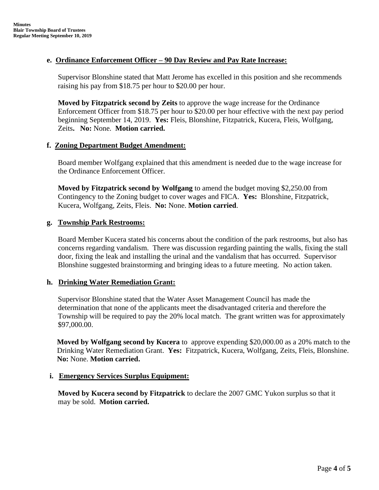## **e. Ordinance Enforcement Officer – 90 Day Review and Pay Rate Increase:**

Supervisor Blonshine stated that Matt Jerome has excelled in this position and she recommends raising his pay from \$18.75 per hour to \$20.00 per hour.

**Moved by Fitzpatrick second by Zeits** to approve the wage increase for the Ordinance Enforcement Officer from \$18.75 per hour to \$20.00 per hour effective with the next pay period beginning September 14, 2019. **Yes:** Fleis, Blonshine, Fitzpatrick, Kucera, Fleis, Wolfgang, Zeits**. No:** None. **Motion carried.**

## **f. Zoning Department Budget Amendment:**

Board member Wolfgang explained that this amendment is needed due to the wage increase for the Ordinance Enforcement Officer.

**Moved by Fitzpatrick second by Wolfgang** to amend the budget moving \$2,250.00 from Contingency to the Zoning budget to cover wages and FICA. **Yes:** Blonshine, Fitzpatrick, Kucera, Wolfgang, Zeits, Fleis. **No:** None. **Motion carried**.

# **g. Township Park Restrooms:**

Board Member Kucera stated his concerns about the condition of the park restrooms, but also has concerns regarding vandalism. There was discussion regarding painting the walls, fixing the stall door, fixing the leak and installing the urinal and the vandalism that has occurred. Supervisor Blonshine suggested brainstorming and bringing ideas to a future meeting. No action taken.

## **h. Drinking Water Remediation Grant:**

Supervisor Blonshine stated that the Water Asset Management Council has made the determination that none of the applicants meet the disadvantaged criteria and therefore the Township will be required to pay the 20% local match. The grant written was for approximately \$97,000.00.

**Moved by Wolfgang second by Kucera** to approve expending \$20,000.00 as a 20% match to the Drinking Water Remediation Grant. **Yes:** Fitzpatrick, Kucera, Wolfgang, Zeits, Fleis, Blonshine. **No:** None. **Motion carried.**

## **i. Emergency Services Surplus Equipment:**

**Moved by Kucera second by Fitzpatrick** to declare the 2007 GMC Yukon surplus so that it may be sold. **Motion carried.**